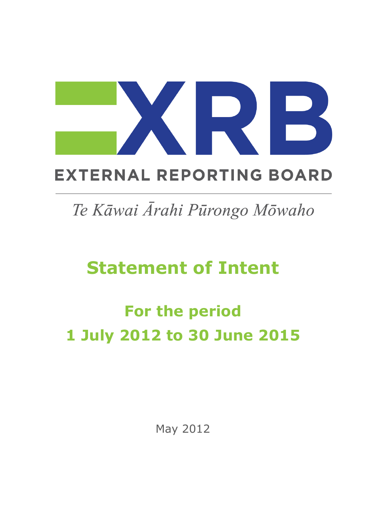## **EXTERNAL REPORTING BOARD**

## Te Kāwai Ārahi Pūrongo Mōwaho

## **Statement of Intent**

# **For the period 1 July 2012 to 30 June 2015**

May 2012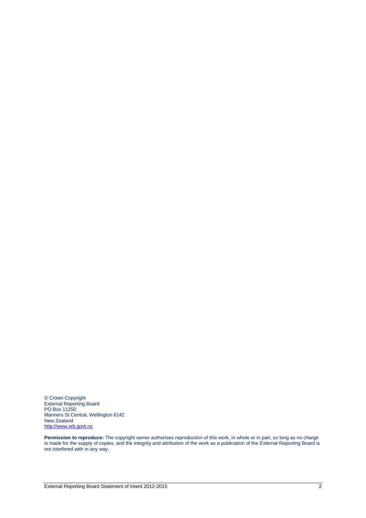© Crown Copyright External Reporting Board PO Box 11250 Manners St Central, Wellington 6142 New Zealand [http://www.xrb.govt.nz](http://www.xrb.govt.nz/)

**Permission to reproduce:** The copyright owner authorises reproduction of this work, in whole or in part, so long as no charge is made for the supply of copies, and the integrity and attribution of the work as a publication of the External Reporting Board is not interfered with in any way.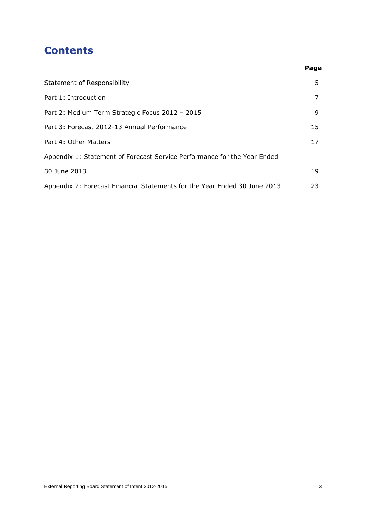### **Contents**

| Statement of Responsibility                                               | 5. |
|---------------------------------------------------------------------------|----|
| Part 1: Introduction                                                      | 7  |
| Part 2: Medium Term Strategic Focus 2012 - 2015                           | 9  |
| Part 3: Forecast 2012-13 Annual Performance                               | 15 |
| Part 4: Other Matters                                                     | 17 |
| Appendix 1: Statement of Forecast Service Performance for the Year Ended  |    |
| 30 June 2013                                                              | 19 |
| Appendix 2: Forecast Financial Statements for the Year Ended 30 June 2013 | 23 |

**Page**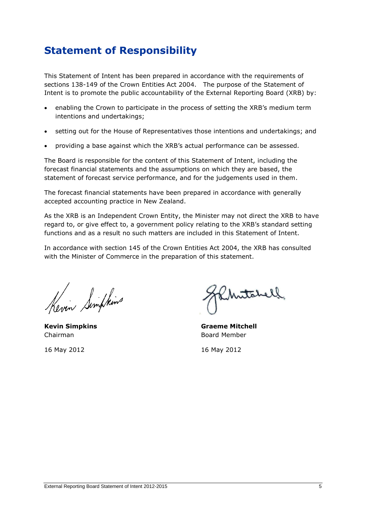## **Statement of Responsibility**

This Statement of Intent has been prepared in accordance with the requirements of sections 138-149 of the Crown Entities Act 2004. The purpose of the Statement of Intent is to promote the public accountability of the External Reporting Board (XRB) by:

- enabling the Crown to participate in the process of setting the XRB"s medium term intentions and undertakings;
- setting out for the House of Representatives those intentions and undertakings; and
- providing a base against which the XRB"s actual performance can be assessed.

The Board is responsible for the content of this Statement of Intent, including the forecast financial statements and the assumptions on which they are based, the statement of forecast service performance, and for the judgements used in them.

The forecast financial statements have been prepared in accordance with generally accepted accounting practice in New Zealand.

As the XRB is an Independent Crown Entity, the Minister may not direct the XRB to have regard to, or give effect to, a government policy relating to the XRB"s standard setting functions and as a result no such matters are included in this Statement of Intent.

In accordance with section 145 of the Crown Entities Act 2004, the XRB has consulted with the Minister of Commerce in the preparation of this statement.

Kevin Simplins

Chairman Board Member

Mutabell,

**Kevin Simpkins Graeme Mitchell**

16 May 2012 16 May 2012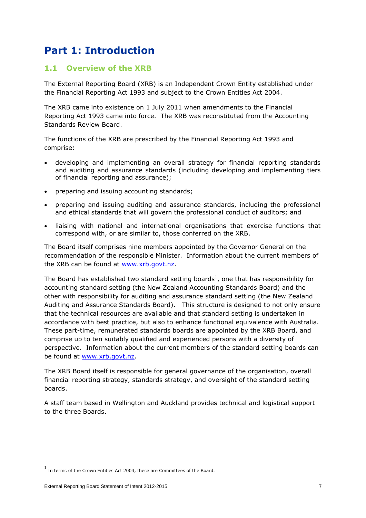## **Part 1: Introduction**

#### **1.1 Overview of the XRB**

The External Reporting Board (XRB) is an Independent Crown Entity established under the Financial Reporting Act 1993 and subject to the Crown Entities Act 2004.

The XRB came into existence on 1 July 2011 when amendments to the Financial Reporting Act 1993 came into force. The XRB was reconstituted from the Accounting Standards Review Board.

The functions of the XRB are prescribed by the Financial Reporting Act 1993 and comprise:

- developing and implementing an overall strategy for financial reporting standards and auditing and assurance standards (including developing and implementing tiers of financial reporting and assurance);
- preparing and issuing accounting standards;
- preparing and issuing auditing and assurance standards, including the professional and ethical standards that will govern the professional conduct of auditors; and
- liaising with national and international organisations that exercise functions that correspond with, or are similar to, those conferred on the XRB.

The Board itself comprises nine members appointed by the Governor General on the recommendation of the responsible Minister. Information about the current members of the XRB can be found at [www.xrb.govt.nz.](http://www.xrb.govt.nz/)

The Board has established two standard setting boards<sup>1</sup>, one that has responsibility for accounting standard setting (the New Zealand Accounting Standards Board) and the other with responsibility for auditing and assurance standard setting (the New Zealand Auditing and Assurance Standards Board). This structure is designed to not only ensure that the technical resources are available and that standard setting is undertaken in accordance with best practice, but also to enhance functional equivalence with Australia. These part-time, remunerated standards boards are appointed by the XRB Board, and comprise up to ten suitably qualified and experienced persons with a diversity of perspective. Information about the current members of the standard setting boards can be found at [www.xrb.govt.nz.](http://www.xrb.govt.nz/)

The XRB Board itself is responsible for general governance of the organisation, overall financial reporting strategy, standards strategy, and oversight of the standard setting boards.

A staff team based in Wellington and Auckland provides technical and logistical support to the three Boards.

1

<sup>&</sup>lt;sup>1</sup> In terms of the Crown Entities Act 2004, these are Committees of the Board.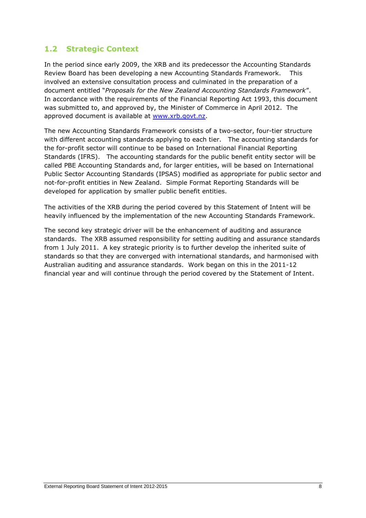#### **1.2 Strategic Context**

In the period since early 2009, the XRB and its predecessor the Accounting Standards Review Board has been developing a new Accounting Standards Framework. This involved an extensive consultation process and culminated in the preparation of a document entitled "*Proposals for the New Zealand Accounting Standards Framework*". In accordance with the requirements of the Financial Reporting Act 1993, this document was submitted to, and approved by, the Minister of Commerce in April 2012. The approved document is available at [www.xrb.govt.nz.](http://www.xrb.govt.nz/)

The new Accounting Standards Framework consists of a two-sector, four-tier structure with different accounting standards applying to each tier. The accounting standards for the for-profit sector will continue to be based on International Financial Reporting Standards (IFRS). The accounting standards for the public benefit entity sector will be called PBE Accounting Standards and, for larger entities, will be based on International Public Sector Accounting Standards (IPSAS) modified as appropriate for public sector and not-for-profit entities in New Zealand. Simple Format Reporting Standards will be developed for application by smaller public benefit entities.

The activities of the XRB during the period covered by this Statement of Intent will be heavily influenced by the implementation of the new Accounting Standards Framework.

The second key strategic driver will be the enhancement of auditing and assurance standards. The XRB assumed responsibility for setting auditing and assurance standards from 1 July 2011. A key strategic priority is to further develop the inherited suite of standards so that they are converged with international standards, and harmonised with Australian auditing and assurance standards. Work began on this in the 2011-12 financial year and will continue through the period covered by the Statement of Intent.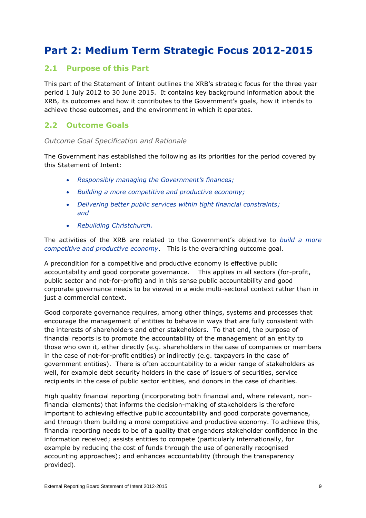## **Part 2: Medium Term Strategic Focus 2012-2015**

#### **2.1 Purpose of this Part**

This part of the Statement of Intent outlines the XRB"s strategic focus for the three year period 1 July 2012 to 30 June 2015. It contains key background information about the XRB, its outcomes and how it contributes to the Government"s goals, how it intends to achieve those outcomes, and the environment in which it operates.

#### **2.2 Outcome Goals**

#### *Outcome Goal Specification and Rationale*

The Government has established the following as its priorities for the period covered by this Statement of Intent:

- *Responsibly managing the Government's finances;*
- *Building a more competitive and productive economy;*
- *Delivering better public services within tight financial constraints; and*
- *Rebuilding Christchurch.*

The activities of the XRB are related to the Government"s objective to *build a more competitive and productive economy*. This is the overarching outcome goal.

A precondition for a competitive and productive economy is effective public accountability and good corporate governance. This applies in all sectors (for-profit, public sector and not-for-profit) and in this sense public accountability and good corporate governance needs to be viewed in a wide multi-sectoral context rather than in just a commercial context.

Good corporate governance requires, among other things, systems and processes that encourage the management of entities to behave in ways that are fully consistent with the interests of shareholders and other stakeholders. To that end, the purpose of financial reports is to promote the accountability of the management of an entity to those who own it, either directly (e.g. shareholders in the case of companies or members in the case of not-for-profit entities) or indirectly (e.g. taxpayers in the case of government entities). There is often accountability to a wider range of stakeholders as well, for example debt security holders in the case of issuers of securities, service recipients in the case of public sector entities, and donors in the case of charities.

High quality financial reporting (incorporating both financial and, where relevant, nonfinancial elements) that informs the decision-making of stakeholders is therefore important to achieving effective public accountability and good corporate governance, and through them building a more competitive and productive economy. To achieve this, financial reporting needs to be of a quality that engenders stakeholder confidence in the information received; assists entities to compete (particularly internationally, for example by reducing the cost of funds through the use of generally recognised accounting approaches); and enhances accountability (through the transparency provided).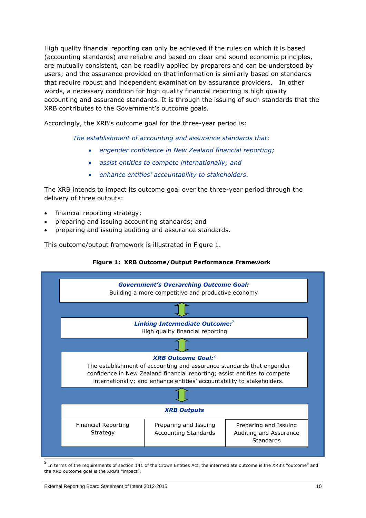High quality financial reporting can only be achieved if the rules on which it is based (accounting standards) are reliable and based on clear and sound economic principles, are mutually consistent, can be readily applied by preparers and can be understood by users; and the assurance provided on that information is similarly based on standards that require robust and independent examination by assurance providers. In other words, a necessary condition for high quality financial reporting is high quality accounting and assurance standards. It is through the issuing of such standards that the XRB contributes to the Government's outcome goals.

Accordingly, the XRB's outcome goal for the three-year period is:

*The establishment of accounting and assurance standards that:*

- *engender confidence in New Zealand financial reporting;*
- *assist entities to compete internationally; and*
- *enhance entities' accountability to stakeholders.*

The XRB intends to impact its outcome goal over the three-year period through the delivery of three outputs:

- financial reporting strategy;
- preparing and issuing accounting standards; and
- preparing and issuing auditing and assurance standards.

This outcome/output framework is illustrated in Figure 1.

#### **Figure 1: XRB Outcome/Output Performance Framework<sup>2</sup>**



the XRB outcome goal is the XRB's "impact".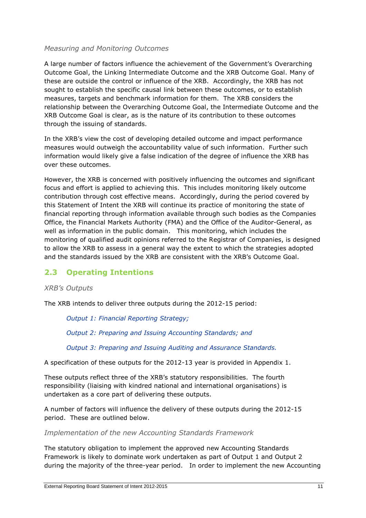#### *Measuring and Monitoring Outcomes*

A large number of factors influence the achievement of the Government"s Overarching Outcome Goal, the Linking Intermediate Outcome and the XRB Outcome Goal. Many of these are outside the control or influence of the XRB. Accordingly, the XRB has not sought to establish the specific causal link between these outcomes, or to establish measures, targets and benchmark information for them. The XRB considers the relationship between the Overarching Outcome Goal, the Intermediate Outcome and the XRB Outcome Goal is clear, as is the nature of its contribution to these outcomes through the issuing of standards.

In the XRB"s view the cost of developing detailed outcome and impact performance measures would outweigh the accountability value of such information. Further such information would likely give a false indication of the degree of influence the XRB has over these outcomes.

However, the XRB is concerned with positively influencing the outcomes and significant focus and effort is applied to achieving this. This includes monitoring likely outcome contribution through cost effective means. Accordingly, during the period covered by this Statement of Intent the XRB will continue its practice of monitoring the state of financial reporting through information available through such bodies as the Companies Office, the Financial Markets Authority (FMA) and the Office of the Auditor-General, as well as information in the public domain. This monitoring, which includes the monitoring of qualified audit opinions referred to the Registrar of Companies, is designed to allow the XRB to assess in a general way the extent to which the strategies adopted and the standards issued by the XRB are consistent with the XRB"s Outcome Goal.

### **2.3 Operating Intentions**

#### *XRB's Outputs*

The XRB intends to deliver three outputs during the 2012-15 period:

*Output 1: Financial Reporting Strategy;*

*Output 2: Preparing and Issuing Accounting Standards; and*

*Output 3: Preparing and Issuing Auditing and Assurance Standards.*

A specification of these outputs for the 2012-13 year is provided in Appendix 1.

These outputs reflect three of the XRB"s statutory responsibilities. The fourth responsibility (liaising with kindred national and international organisations) is undertaken as a core part of delivering these outputs.

A number of factors will influence the delivery of these outputs during the 2012-15 period. These are outlined below.

*Implementation of the new Accounting Standards Framework*

The statutory obligation to implement the approved new Accounting Standards Framework is likely to dominate work undertaken as part of Output 1 and Output 2 during the majority of the three-year period. In order to implement the new Accounting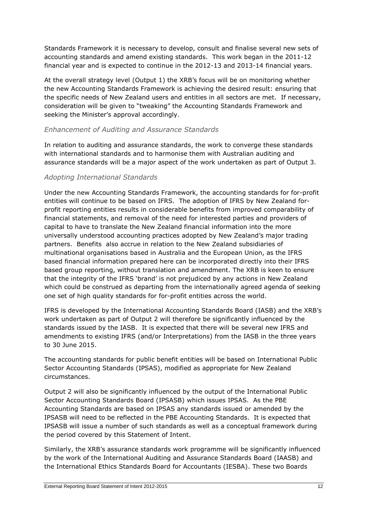Standards Framework it is necessary to develop, consult and finalise several new sets of accounting standards and amend existing standards. This work began in the 2011-12 financial year and is expected to continue in the 2012-13 and 2013-14 financial years.

At the overall strategy level (Output 1) the XRB"s focus will be on monitoring whether the new Accounting Standards Framework is achieving the desired result: ensuring that the specific needs of New Zealand users and entities in all sectors are met. If necessary, consideration will be given to "tweaking" the Accounting Standards Framework and seeking the Minister's approval accordingly.

#### *Enhancement of Auditing and Assurance Standards*

In relation to auditing and assurance standards, the work to converge these standards with international standards and to harmonise them with Australian auditing and assurance standards will be a major aspect of the work undertaken as part of Output 3.

#### *Adopting International Standards*

Under the new Accounting Standards Framework, the accounting standards for for-profit entities will continue to be based on IFRS. The adoption of IFRS by New Zealand forprofit reporting entities results in considerable benefits from improved comparability of financial statements, and removal of the need for interested parties and providers of capital to have to translate the New Zealand financial information into the more universally understood accounting practices adopted by New Zealand"s major trading partners. Benefits also accrue in relation to the New Zealand subsidiaries of multinational organisations based in Australia and the European Union, as the IFRS based financial information prepared here can be incorporated directly into their IFRS based group reporting, without translation and amendment. The XRB is keen to ensure that the integrity of the IFRS "brand" is not prejudiced by any actions in New Zealand which could be construed as departing from the internationally agreed agenda of seeking one set of high quality standards for for-profit entities across the world.

IFRS is developed by the International Accounting Standards Board (IASB) and the XRB"s work undertaken as part of Output 2 will therefore be significantly influenced by the standards issued by the IASB. It is expected that there will be several new IFRS and amendments to existing IFRS (and/or Interpretations) from the IASB in the three years to 30 June 2015.

The accounting standards for public benefit entities will be based on International Public Sector Accounting Standards (IPSAS), modified as appropriate for New Zealand circumstances.

Output 2 will also be significantly influenced by the output of the International Public Sector Accounting Standards Board (IPSASB) which issues IPSAS. As the PBE Accounting Standards are based on IPSAS any standards issued or amended by the IPSASB will need to be reflected in the PBE Accounting Standards. It is expected that IPSASB will issue a number of such standards as well as a conceptual framework during the period covered by this Statement of Intent.

Similarly, the XRB"s assurance standards work programme will be significantly influenced by the work of the International Auditing and Assurance Standards Board (IAASB) and the International Ethics Standards Board for Accountants (IESBA). These two Boards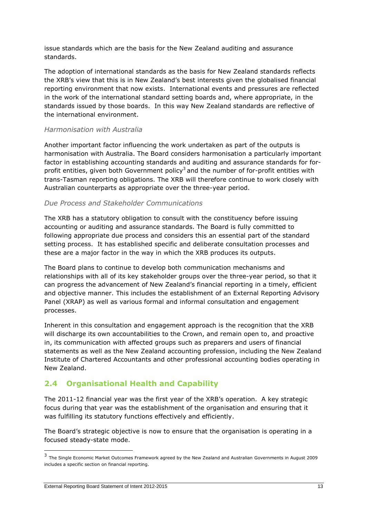issue standards which are the basis for the New Zealand auditing and assurance standards.

The adoption of international standards as the basis for New Zealand standards reflects the XRB"s view that this is in New Zealand"s best interests given the globalised financial reporting environment that now exists. International events and pressures are reflected in the work of the international standard setting boards and, where appropriate, in the standards issued by those boards. In this way New Zealand standards are reflective of the international environment.

#### *Harmonisation with Australia*

Another important factor influencing the work undertaken as part of the outputs is harmonisation with Australia. The Board considers harmonisation a particularly important factor in establishing accounting standards and auditing and assurance standards for forprofit entities, given both Government policy<sup>3</sup> and the number of for-profit entities with trans-Tasman reporting obligations. The XRB will therefore continue to work closely with Australian counterparts as appropriate over the three-year period.

#### *Due Process and Stakeholder Communications*

The XRB has a statutory obligation to consult with the constituency before issuing accounting or auditing and assurance standards. The Board is fully committed to following appropriate due process and considers this an essential part of the standard setting process. It has established specific and deliberate consultation processes and these are a major factor in the way in which the XRB produces its outputs.

The Board plans to continue to develop both communication mechanisms and relationships with all of its key stakeholder groups over the three-year period, so that it can progress the advancement of New Zealand"s financial reporting in a timely, efficient and objective manner. This includes the establishment of an External Reporting Advisory Panel (XRAP) as well as various formal and informal consultation and engagement processes.

Inherent in this consultation and engagement approach is the recognition that the XRB will discharge its own accountabilities to the Crown, and remain open to, and proactive in, its communication with affected groups such as preparers and users of financial statements as well as the New Zealand accounting profession, including the New Zealand Institute of Chartered Accountants and other professional accounting bodies operating in New Zealand.

#### **2.4 Organisational Health and Capability**

The 2011-12 financial year was the first year of the XRB"s operation. A key strategic focus during that year was the establishment of the organisation and ensuring that it was fulfilling its statutory functions effectively and efficiently.

The Board"s strategic objective is now to ensure that the organisation is operating in a focused steady-state mode.

1

<sup>3</sup> The Single Economic Market Outcomes Framework agreed by the New Zealand and Australian Governments in August 2009 includes a specific section on financial reporting.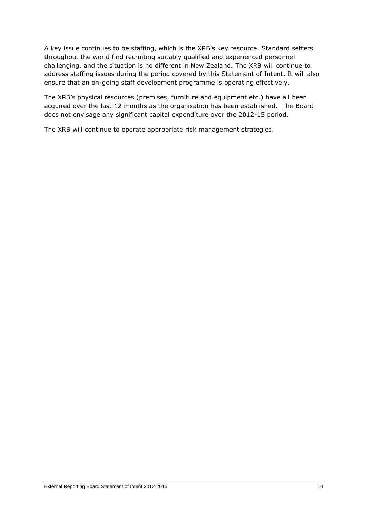A key issue continues to be staffing, which is the XRB"s key resource. Standard setters throughout the world find recruiting suitably qualified and experienced personnel challenging, and the situation is no different in New Zealand. The XRB will continue to address staffing issues during the period covered by this Statement of Intent. It will also ensure that an on-going staff development programme is operating effectively.

The XRB's physical resources (premises, furniture and equipment etc.) have all been acquired over the last 12 months as the organisation has been established. The Board does not envisage any significant capital expenditure over the 2012-15 period.

The XRB will continue to operate appropriate risk management strategies.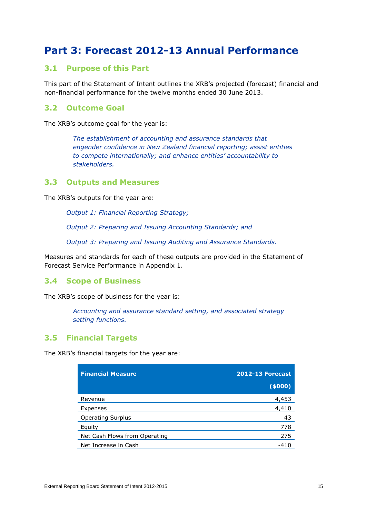### **Part 3: Forecast 2012-13 Annual Performance**

#### **3.1 Purpose of this Part**

This part of the Statement of Intent outlines the XRB"s projected (forecast) financial and non-financial performance for the twelve months ended 30 June 2013.

#### **3.2 Outcome Goal**

The XRB's outcome goal for the year is:

*The establishment of accounting and assurance standards that engender confidence in New Zealand financial reporting; assist entities to compete internationally; and enhance entities' accountability to stakeholders.*

#### **3.3 Outputs and Measures**

The XRB's outputs for the year are:

*Output 1: Financial Reporting Strategy;*

*Output 2: Preparing and Issuing Accounting Standards; and*

*Output 3: Preparing and Issuing Auditing and Assurance Standards.*

Measures and standards for each of these outputs are provided in the Statement of Forecast Service Performance in Appendix 1.

#### **3.4 Scope of Business**

The XRB's scope of business for the year is:

*Accounting and assurance standard setting, and associated strategy setting functions.*

#### **3.5 Financial Targets**

The XRB's financial targets for the year are:

| <b>Financial Measure</b>      | <b>2012-13 Forecast</b> |  |
|-------------------------------|-------------------------|--|
|                               | (5000)                  |  |
| Revenue                       | 4,453                   |  |
| Expenses                      | 4,410                   |  |
| <b>Operating Surplus</b>      | 43                      |  |
| Equity                        | 778                     |  |
| Net Cash Flows from Operating | 275                     |  |
| Net Increase in Cash          | -410                    |  |
|                               |                         |  |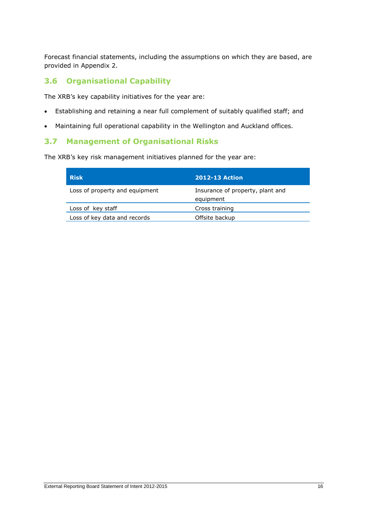Forecast financial statements, including the assumptions on which they are based, are provided in Appendix 2.

#### **3.6 Organisational Capability**

The XRB's key capability initiatives for the year are:

- Establishing and retaining a near full complement of suitably qualified staff; and
- Maintaining full operational capability in the Wellington and Auckland offices.

#### **3.7 Management of Organisational Risks**

The XRB's key risk management initiatives planned for the year are:

| <b>Risk</b>                    | <b>2012-13 Action</b>                         |
|--------------------------------|-----------------------------------------------|
| Loss of property and equipment | Insurance of property, plant and<br>equipment |
| Loss of key staff              | Cross training                                |
| Loss of key data and records   | Offsite backup                                |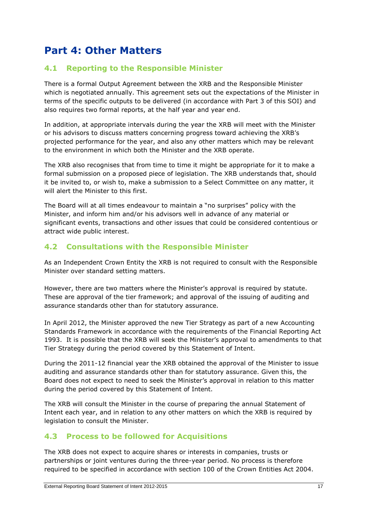## **Part 4: Other Matters**

#### **4.1 Reporting to the Responsible Minister**

There is a formal Output Agreement between the XRB and the Responsible Minister which is negotiated annually. This agreement sets out the expectations of the Minister in terms of the specific outputs to be delivered (in accordance with Part 3 of this SOI) and also requires two formal reports, at the half year and year end.

In addition, at appropriate intervals during the year the XRB will meet with the Minister or his advisors to discuss matters concerning progress toward achieving the XRB"s projected performance for the year, and also any other matters which may be relevant to the environment in which both the Minister and the XRB operate.

The XRB also recognises that from time to time it might be appropriate for it to make a formal submission on a proposed piece of legislation. The XRB understands that, should it be invited to, or wish to, make a submission to a Select Committee on any matter, it will alert the Minister to this first.

The Board will at all times endeavour to maintain a "no surprises" policy with the Minister, and inform him and/or his advisors well in advance of any material or significant events, transactions and other issues that could be considered contentious or attract wide public interest.

#### **4.2 Consultations with the Responsible Minister**

As an Independent Crown Entity the XRB is not required to consult with the Responsible Minister over standard setting matters.

However, there are two matters where the Minister's approval is required by statute. These are approval of the tier framework; and approval of the issuing of auditing and assurance standards other than for statutory assurance.

In April 2012, the Minister approved the new Tier Strategy as part of a new Accounting Standards Framework in accordance with the requirements of the Financial Reporting Act 1993. It is possible that the XRB will seek the Minister"s approval to amendments to that Tier Strategy during the period covered by this Statement of Intent.

During the 2011-12 financial year the XRB obtained the approval of the Minister to issue auditing and assurance standards other than for statutory assurance. Given this, the Board does not expect to need to seek the Minister"s approval in relation to this matter during the period covered by this Statement of Intent.

The XRB will consult the Minister in the course of preparing the annual Statement of Intent each year, and in relation to any other matters on which the XRB is required by legislation to consult the Minister.

#### **4.3 Process to be followed for Acquisitions**

The XRB does not expect to acquire shares or interests in companies, trusts or partnerships or joint ventures during the three-year period. No process is therefore required to be specified in accordance with section 100 of the Crown Entities Act 2004.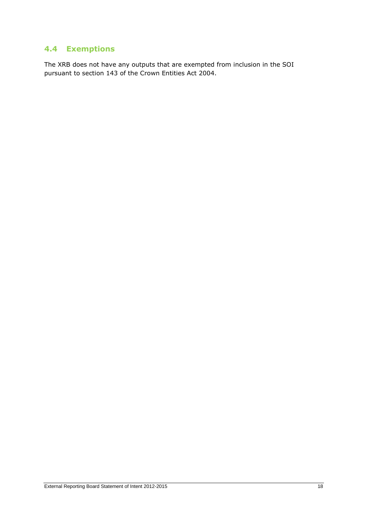### **4.4 Exemptions**

The XRB does not have any outputs that are exempted from inclusion in the SOI pursuant to section 143 of the Crown Entities Act 2004.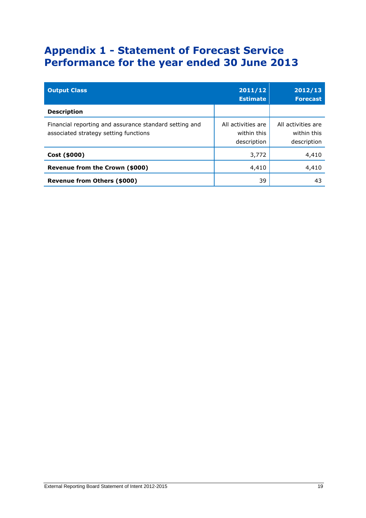## **Appendix 1 - Statement of Forecast Service Performance for the year ended 30 June 2013**

| <b>Output Class</b>                                                                             | 2011/12<br><b>Estimate</b>                       | 2012/13<br><b>Forecast</b>                       |
|-------------------------------------------------------------------------------------------------|--------------------------------------------------|--------------------------------------------------|
| <b>Description</b>                                                                              |                                                  |                                                  |
| Financial reporting and assurance standard setting and<br>associated strategy setting functions | All activities are<br>within this<br>description | All activities are<br>within this<br>description |
| Cost (\$000)                                                                                    | 3,772                                            | 4,410                                            |
| Revenue from the Crown (\$000)                                                                  | 4,410                                            | 4,410                                            |
| Revenue from Others (\$000)                                                                     | 39                                               | 43                                               |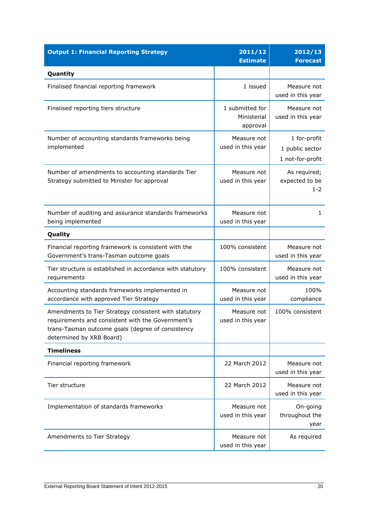| <b>Output 1: Financial Reporting Strategy</b>                                                                                                                                               | 2011/12<br><b>Estimate</b>                 | 2012/13<br><b>Forecast</b>                          |
|---------------------------------------------------------------------------------------------------------------------------------------------------------------------------------------------|--------------------------------------------|-----------------------------------------------------|
| Quantity                                                                                                                                                                                    |                                            |                                                     |
| Finalised financial reporting framework                                                                                                                                                     | 1 issued                                   | Measure not<br>used in this year                    |
| Finalised reporting tiers structure                                                                                                                                                         | 1 submitted for<br>Ministerial<br>approval | Measure not<br>used in this year                    |
| Number of accounting standards frameworks being<br>implemented                                                                                                                              | Measure not<br>used in this year           | 1 for-profit<br>1 public sector<br>1 not-for-profit |
| Number of amendments to accounting standards Tier<br>Strategy submitted to Minister for approval                                                                                            | Measure not<br>used in this year           | As required;<br>expected to be<br>$1 - 2$           |
| Number of auditing and assurance standards frameworks<br>being implemented                                                                                                                  | Measure not<br>used in this year           | 1                                                   |
| Quality                                                                                                                                                                                     |                                            |                                                     |
| Financial reporting framework is consistent with the<br>Government's trans-Tasman outcome goals                                                                                             | 100% consistent                            | Measure not<br>used in this year                    |
| Tier structure is established in accordance with statutory<br>requirements                                                                                                                  | 100% consistent                            | Measure not<br>used in this year                    |
| Accounting standards frameworks implemented in<br>accordance with approved Tier Strategy                                                                                                    | Measure not<br>used in this year           | 100%<br>compliance                                  |
| Amendments to Tier Strategy consistent with statutory<br>requirements and consistent with the Government's<br>trans-Tasman outcome goals (degree of consistency<br>determined by XRB Board) | Measure not<br>used in this year           | 100% consistent                                     |
| <b>Timeliness</b>                                                                                                                                                                           |                                            |                                                     |
| Financial reporting framework                                                                                                                                                               | 22 March 2012                              | Measure not<br>used in this year                    |
| Tier structure                                                                                                                                                                              | 22 March 2012                              | Measure not<br>used in this year                    |
| Implementation of standards frameworks                                                                                                                                                      | Measure not<br>used in this year           | On-going<br>throughout the<br>year                  |
| Amendments to Tier Strategy                                                                                                                                                                 | Measure not<br>used in this year           | As required                                         |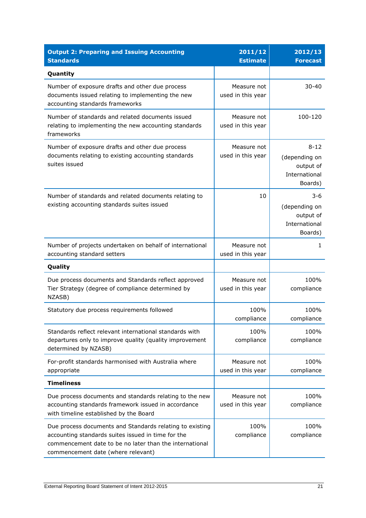| <b>Output 2: Preparing and Issuing Accounting</b><br><b>Standards</b>                                                                                                                                           | 2011/12<br><b>Estimate</b>       | 2012/13<br><b>Forecast</b>                                         |
|-----------------------------------------------------------------------------------------------------------------------------------------------------------------------------------------------------------------|----------------------------------|--------------------------------------------------------------------|
| Quantity                                                                                                                                                                                                        |                                  |                                                                    |
| Number of exposure drafts and other due process<br>documents issued relating to implementing the new<br>accounting standards frameworks                                                                         | Measure not<br>used in this year | $30 - 40$                                                          |
| Number of standards and related documents issued<br>relating to implementing the new accounting standards<br>frameworks                                                                                         | Measure not<br>used in this year | 100-120                                                            |
| Number of exposure drafts and other due process<br>documents relating to existing accounting standards<br>suites issued                                                                                         | Measure not<br>used in this year | $8 - 12$<br>(depending on<br>output of<br>International<br>Boards) |
| Number of standards and related documents relating to<br>existing accounting standards suites issued                                                                                                            | 10                               | $3 - 6$<br>(depending on<br>output of<br>International<br>Boards)  |
| Number of projects undertaken on behalf of international<br>accounting standard setters                                                                                                                         | Measure not<br>used in this year | 1                                                                  |
| Quality                                                                                                                                                                                                         |                                  |                                                                    |
| Due process documents and Standards reflect approved<br>Tier Strategy (degree of compliance determined by<br>NZASB)                                                                                             | Measure not<br>used in this year | 100%<br>compliance                                                 |
| Statutory due process requirements followed                                                                                                                                                                     | 100%<br>compliance               | 100%<br>compliance                                                 |
| Standards reflect relevant international standards with<br>departures only to improve quality (quality improvement<br>determined by NZASB)                                                                      | 100%<br>compliance               | 100%<br>compliance                                                 |
| For-profit standards harmonised with Australia where<br>appropriate                                                                                                                                             | Measure not<br>used in this year | 100%<br>compliance                                                 |
| <b>Timeliness</b>                                                                                                                                                                                               |                                  |                                                                    |
| Due process documents and standards relating to the new<br>accounting standards framework issued in accordance<br>with timeline established by the Board                                                        | Measure not<br>used in this year | 100%<br>compliance                                                 |
| Due process documents and Standards relating to existing<br>accounting standards suites issued in time for the<br>commencement date to be no later than the international<br>commencement date (where relevant) | 100%<br>compliance               | 100%<br>compliance                                                 |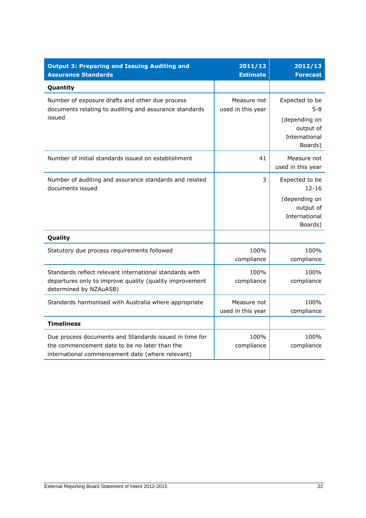| <b>Output 3: Preparing and Issuing Auditing and</b><br><b>Assurance Standards</b>                                                                           | 2011/12<br><b>Estimate</b>       | 2012/13<br><b>Forecast</b>                                                            |
|-------------------------------------------------------------------------------------------------------------------------------------------------------------|----------------------------------|---------------------------------------------------------------------------------------|
| Quantity                                                                                                                                                    |                                  |                                                                                       |
| Number of exposure drafts and other due process<br>documents relating to auditing and assurance standards<br>issued                                         | Measure not<br>used in this year | Expected to be<br>$5 - 8$<br>(depending on<br>output of<br>International<br>Boards)   |
| Number of initial standards issued on establishment                                                                                                         | 41                               | Measure not<br>used in this year                                                      |
| Number of auditing and assurance standards and related<br>documents issued                                                                                  | 3                                | Expected to be<br>$12 - 16$<br>(depending on<br>output of<br>International<br>Boards) |
| Quality                                                                                                                                                     |                                  |                                                                                       |
| Statutory due process requirements followed                                                                                                                 | 100%<br>compliance               | 100%<br>compliance                                                                    |
| Standards reflect relevant international standards with<br>departures only to improve quality (quality improvement<br>determined by NZAuASB)                | 100%<br>compliance               | 100%<br>compliance                                                                    |
| Standards harmonised with Australia where appropriate                                                                                                       | Measure not<br>used in this year | 100%<br>compliance                                                                    |
| <b>Timeliness</b>                                                                                                                                           |                                  |                                                                                       |
| Due process documents and Standards issued in time for<br>the commencement date to be no later than the<br>international commencement date (where relevant) | 100%<br>compliance               | 100%<br>compliance                                                                    |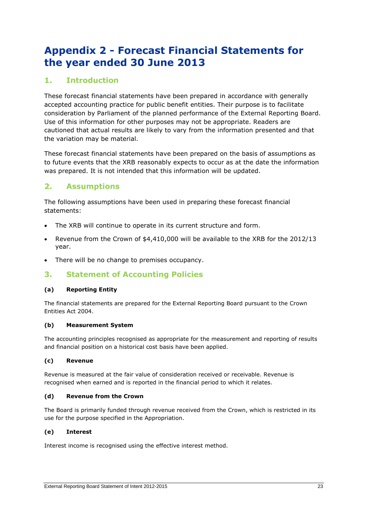### **Appendix 2 - Forecast Financial Statements for the year ended 30 June 2013**

#### **1. Introduction**

These forecast financial statements have been prepared in accordance with generally accepted accounting practice for public benefit entities. Their purpose is to facilitate consideration by Parliament of the planned performance of the External Reporting Board. Use of this information for other purposes may not be appropriate. Readers are cautioned that actual results are likely to vary from the information presented and that the variation may be material.

These forecast financial statements have been prepared on the basis of assumptions as to future events that the XRB reasonably expects to occur as at the date the information was prepared. It is not intended that this information will be updated.

#### **2. Assumptions**

The following assumptions have been used in preparing these forecast financial statements:

- The XRB will continue to operate in its current structure and form.
- Revenue from the Crown of \$4,410,000 will be available to the XRB for the 2012/13 year.
- There will be no change to premises occupancy.

#### **3. Statement of Accounting Policies**

#### **(a) Reporting Entity**

The financial statements are prepared for the External Reporting Board pursuant to the Crown Entities Act 2004.

#### **(b) Measurement System**

The accounting principles recognised as appropriate for the measurement and reporting of results and financial position on a historical cost basis have been applied.

#### **(c) Revenue**

Revenue is measured at the fair value of consideration received or receivable. Revenue is recognised when earned and is reported in the financial period to which it relates.

#### **(d) Revenue from the Crown**

The Board is primarily funded through revenue received from the Crown, which is restricted in its use for the purpose specified in the Appropriation.

#### **(e) Interest**

Interest income is recognised using the effective interest method.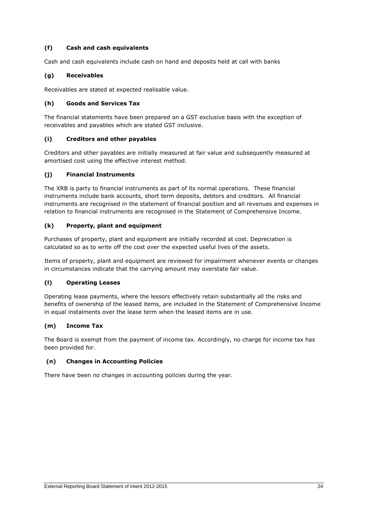#### **(f) Cash and cash equivalents**

Cash and cash equivalents include cash on hand and deposits held at call with banks

#### **(g) Receivables**

Receivables are stated at expected realisable value.

#### **(h) Goods and Services Tax**

The financial statements have been prepared on a GST exclusive basis with the exception of receivables and payables which are stated GST inclusive.

#### **(i) Creditors and other payables**

Creditors and other payables are initially measured at fair value and subsequently measured at amortised cost using the effective interest method.

#### **(j) Financial Instruments**

The XRB is party to financial instruments as part of its normal operations. These financial instruments include bank accounts, short term deposits, debtors and creditors. All financial instruments are recognised in the statement of financial position and all revenues and expenses in relation to financial instruments are recognised in the Statement of Comprehensive Income.

#### **(k) Property, plant and equipment**

Purchases of property, plant and equipment are initially recorded at cost. Depreciation is calculated so as to write off the cost over the expected useful lives of the assets.

Items of property, plant and equipment are reviewed for impairment whenever events or changes in circumstances indicate that the carrying amount may overstate fair value.

#### **(l) Operating Leases**

Operating lease payments, where the lessors effectively retain substantially all the risks and benefits of ownership of the leased items, are included in the Statement of Comprehensive Income in equal instalments over the lease term when the leased items are in use.

#### **(m) Income Tax**

The Board is exempt from the payment of income tax. Accordingly, no charge for income tax has been provided for.

#### **(n) Changes in Accounting Policies**

There have been no changes in accounting policies during the year.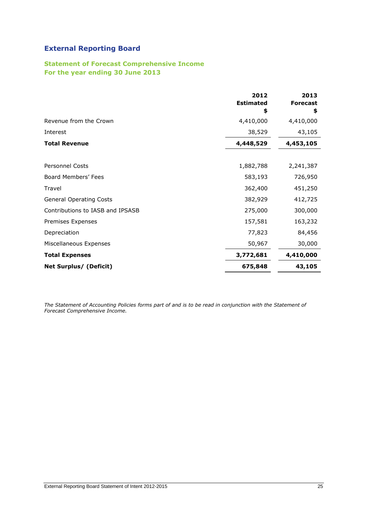#### **Statement of Forecast Comprehensive Income For the year ending 30 June 2013**

|                                  | 2012<br><b>Estimated</b><br>\$ | 2013<br><b>Forecast</b><br>\$ |
|----------------------------------|--------------------------------|-------------------------------|
| Revenue from the Crown           | 4,410,000                      | 4,410,000                     |
| Interest                         | 38,529                         | 43,105                        |
| <b>Total Revenue</b>             | 4,448,529                      | 4,453,105                     |
|                                  |                                |                               |
| <b>Personnel Costs</b>           | 1,882,788                      | 2,241,387                     |
| Board Members' Fees              | 583,193                        | 726,950                       |
| Travel                           | 362,400                        | 451,250                       |
| <b>General Operating Costs</b>   | 382,929                        | 412,725                       |
| Contributions to IASB and IPSASB | 275,000                        | 300,000                       |
| Premises Expenses                | 157,581                        | 163,232                       |
| Depreciation                     | 77,823                         | 84,456                        |
| Miscellaneous Expenses           | 50,967                         | 30,000                        |
| <b>Total Expenses</b>            | 3,772,681                      | 4,410,000                     |
| <b>Net Surplus/ (Deficit)</b>    | 675,848                        | 43,105                        |

*The Statement of Accounting Policies forms part of and is to be read in conjunction with the Statement of Forecast Comprehensive Income.*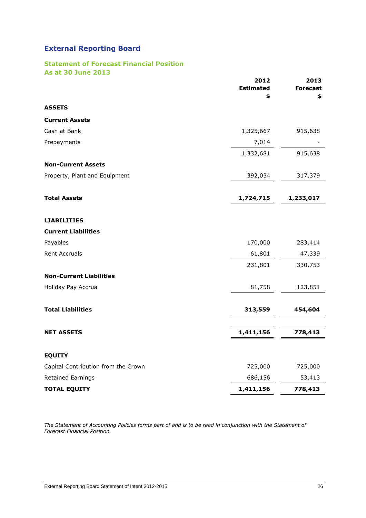#### **Statement of Forecast Financial Position As at 30 June 2013**

| <b>CEAS SHIP CASES</b>              | 2012<br><b>Estimated</b><br>\$ | 2013<br><b>Forecast</b><br>\$ |
|-------------------------------------|--------------------------------|-------------------------------|
| <b>ASSETS</b>                       |                                |                               |
| <b>Current Assets</b>               |                                |                               |
| Cash at Bank                        | 1,325,667                      | 915,638                       |
| Prepayments                         | 7,014                          |                               |
|                                     | 1,332,681                      | 915,638                       |
| <b>Non-Current Assets</b>           |                                |                               |
| Property, Plant and Equipment       | 392,034                        | 317,379                       |
| <b>Total Assets</b>                 | 1,724,715                      | 1,233,017                     |
|                                     |                                |                               |
| <b>LIABILITIES</b>                  |                                |                               |
| <b>Current Liabilities</b>          |                                |                               |
| Payables                            | 170,000                        | 283,414                       |
| <b>Rent Accruals</b>                | 61,801                         | 47,339                        |
|                                     | 231,801                        | 330,753                       |
| <b>Non-Current Liabilities</b>      |                                |                               |
| Holiday Pay Accrual                 | 81,758                         | 123,851                       |
| <b>Total Liabilities</b>            | 313,559                        | 454,604                       |
| <b>NET ASSETS</b>                   | 1,411,156                      | 778,413                       |
|                                     |                                |                               |
| <b>EQUITY</b>                       |                                |                               |
| Capital Contribution from the Crown | 725,000                        | 725,000                       |
| Retained Earnings                   | 686,156                        | 53,413                        |
| <b>TOTAL EQUITY</b>                 | 1,411,156                      | 778,413                       |

*The Statement of Accounting Policies forms part of and is to be read in conjunction with the Statement of Forecast Financial Position.*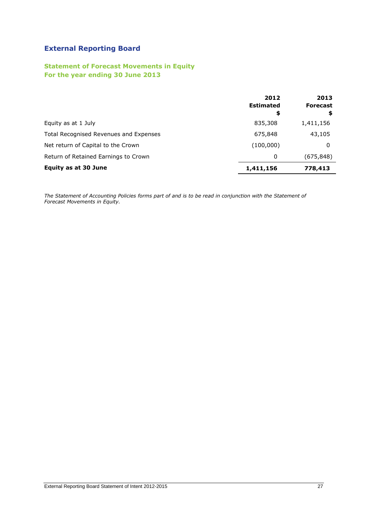#### **Statement of Forecast Movements in Equity For the year ending 30 June 2013**

|                                        | 2012<br><b>Estimated</b><br>\$ | 2013<br><b>Forecast</b><br>\$ |
|----------------------------------------|--------------------------------|-------------------------------|
| Equity as at 1 July                    | 835,308                        | 1,411,156                     |
| Total Recognised Revenues and Expenses | 675,848                        | 43,105                        |
| Net return of Capital to the Crown     | (100,000)                      | 0                             |
| Return of Retained Earnings to Crown   | 0                              | (675, 848)                    |
| <b>Equity as at 30 June</b>            | 1,411,156                      | 778,413                       |

*The Statement of Accounting Policies forms part of and is to be read in conjunction with the Statement of Forecast Movements in Equity.*